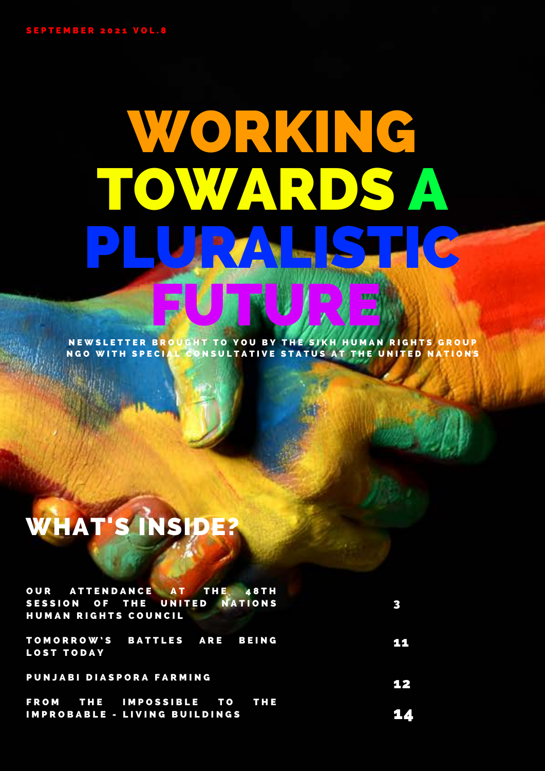# WORKING TOWARDS A PLURALISTIC FUTURE

NEWSLETTER BROUGHT TO YOU BY THE SIKH HUMAN RIGHTS GROUP NGO WITH SPECIAL CONSULTATIVE STATUS AT THE UNITED NATIONS

## WHAT'S INSIDE?

| OUR ATTENDANCE AT THE<br><b>48TH</b><br>SESSION OF THE UNITED NATIONS<br>HUMAN RIGHTS COUNCIL | 3  |
|-----------------------------------------------------------------------------------------------|----|
| TOMORROW'S BATTLES ARE BEING<br><b>LOST TODAY</b>                                             | ш  |
| PUNJABI DIASPORA FARMING                                                                      | 12 |
| FROM THE IMPOSSIBLE TO THE<br><b>IMPROBABLE - LIVING BUILDINGS</b>                            |    |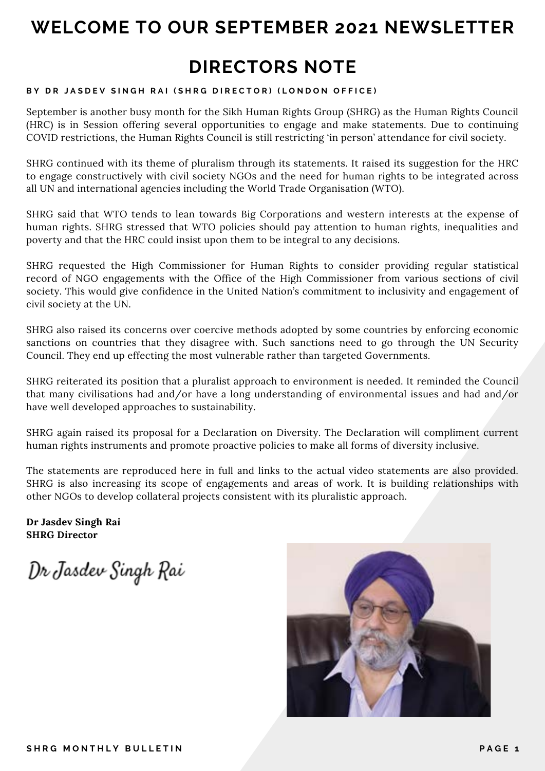### **WELCOME TO OUR SEPTEMBER 2021 NEWSLETTER**

### **DIRECTORS NOTE**

#### **BY DR JASDEV SINGH RAI (SHRG DIRECTOR) (LONDON OFFICE)**

September is another busy month for the Sikh Human Rights Group (SHRG) as the Human Rights Council (HRC) is in Session offering several opportunities to engage and make statements. Due to continuing COVID restrictions, the Human Rights Council is still restricting 'in person' attendance for civil society.

SHRG continued with its theme of pluralism through its statements. It raised its suggestion for the HRC to engage constructively with civil society NGOs and the need for human rights to be integrated across all UN and international agencies including the World Trade Organisation (WTO).

SHRG said that WTO tends to lean towards Big Corporations and western interests at the expense of human rights. SHRG stressed that WTO policies should pay attention to human rights, inequalities and poverty and that the HRC could insist upon them to be integral to any decisions.

SHRG requested the High Commissioner for Human Rights to consider providing regular statistical record of NGO engagements with the Office of the High Commissioner from various sections of civil society. This would give confidence in the United Nation's commitment to inclusivity and engagement of civil society at the UN.

SHRG also raised its concerns over coercive methods adopted by some countries by enforcing economic sanctions on countries that they disagree with. Such sanctions need to go through the UN Security Council. They end up effecting the most vulnerable rather than targeted Governments.

SHRG reiterated its position that a pluralist approach to environment is needed. It reminded the Council that many civilisations had and/or have a long understanding of environmental issues and had and/or have well developed approaches to sustainability.

SHRG again raised its proposal for a Declaration on Diversity. The Declaration will compliment current human rights instruments and promote proactive policies to make all forms of diversity inclusive.

The statements are reproduced here in full and links to the actual video statements are also provided. SHRG is also increasing its scope of engagements and areas of work. It is building relationships with other NGOs to develop collateral projects consistent with its pluralistic approach.

**Dr Jasdev Singh Rai SHRG Director**

Dr Jasdev Singh Rai

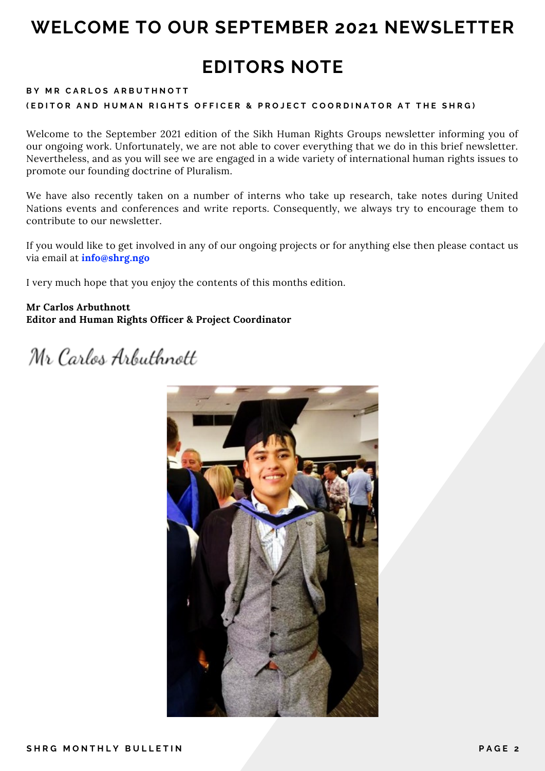### **WELCOME TO OUR SEPTEMBER 2021 NEWSLETTER**

### **EDITORS NOTE**

#### **BY MR CARLOS ARBUTHNOTT (EDITOR AND HUMAN RIGHTS OFFICER & PROJECT COORDINATOR AT THE SHRG)**

Welcome to the September 2021 edition of the Sikh Human Rights Groups newsletter informing you of our ongoing work. Unfortunately, we are not able to cover everything that we do in this brief newsletter. Nevertheless, and as you will see we are engaged in a wide variety of international human rights issues to promote our founding doctrine of Pluralism.

We have also recently taken on a number of interns who take up research, take notes during United Nations events and conferences and write reports. Consequently, we always try to encourage them to contribute to our newsletter.

If you would like to get involved in any of our ongoing projects or for anything else then please contact us via email at **info@shrg.ngo**

I very much hope that you enjoy the contents of this months edition.

#### **Mr Carlos Arbuthnott Editor and Human Rights Officer & Project Coordinator**

Mr Carlos Arbuthnott

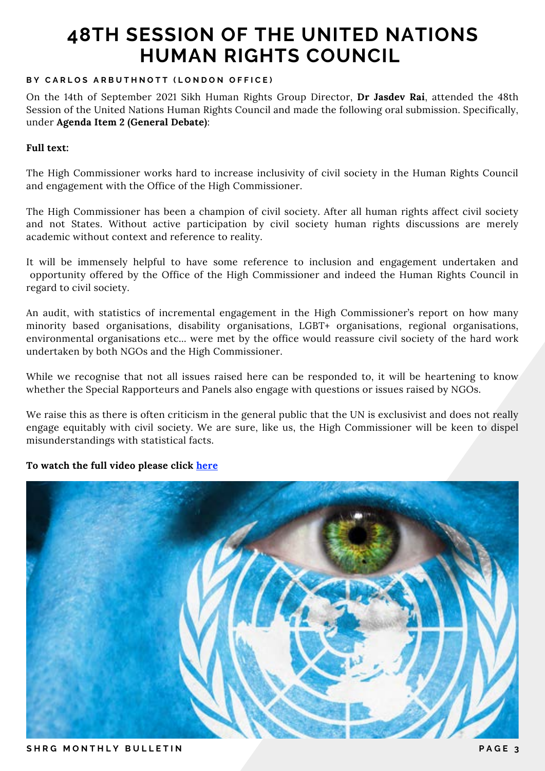#### **BY CARLOS ARBUTHNOTT (LONDON OFFICE)**

On the 14th of September 2021 Sikh Human Rights Group Director, **Dr Jasdev Rai**, attended the 48th Session of the United Nations Human Rights Council and made the following oral submission. Specifically, under **Agenda Item 2 (General Debate)**:

#### **Full text:**

The High Commissioner works hard to increase inclusivity of civil society in the Human Rights Council and engagement with the Office of the High Commissioner.

The High Commissioner has been a champion of civil society. After all human rights affect civil society and not States. Without active participation by civil society human rights discussions are merely academic without context and reference to reality.

It will be immensely helpful to have some reference to inclusion and engagement undertaken and opportunity offered by the Office of the High Commissioner and indeed the Human Rights Council in regard to civil society.

An audit, with statistics of incremental engagement in the High Commissioner's report on how many minority based organisations, disability organisations, LGBT+ organisations, regional organisations, environmental organisations etc... were met by the office would reassure civil society of the hard work undertaken by both NGOs and the High Commissioner.

While we recognise that not all issues raised here can be responded to, it will be heartening to know whether the Special Rapporteurs and Panels also engage with questions or issues raised by NGOs.

We raise this as there is often criticism in the general public that the UN is exclusivist and does not really engage equitably with civil society. We are sure, like us, the High Commissioner will be keen to dispel misunderstandings with statistical facts.

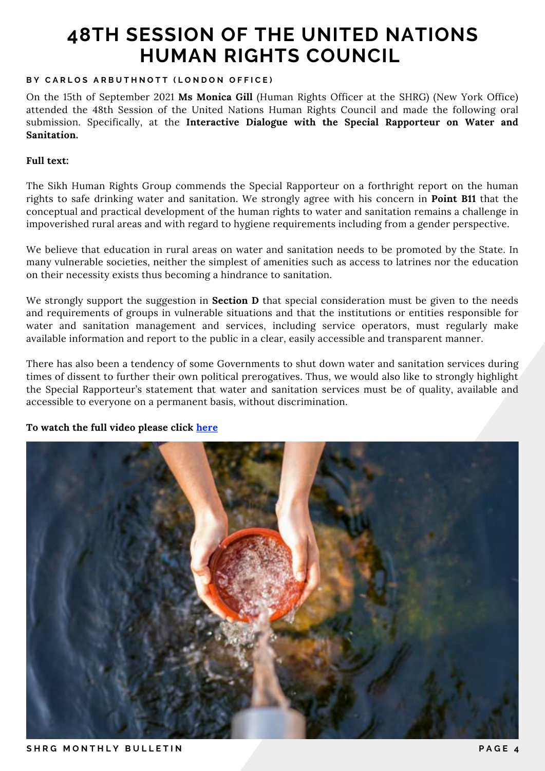#### **BY CARLOS ARBUTHNOTT (LONDON OFFICE)**

On the 15th of September 2021 **Ms Monica Gill** (Human Rights Officer at the SHRG) (New York Office) attended the 48th Session of the United Nations Human Rights Council and made the following oral submission. Specifically, at the **Interactive Dialogue with the Special Rapporteur on Water and Sanitation.**

#### **Full text:**

The Sikh Human Rights Group commends the Special Rapporteur on a forthright report on the human rights to safe drinking water and sanitation. We strongly agree with his concern in **Point B11** that the conceptual and practical development of the human rights to water and sanitation remains a challenge in impoverished rural areas and with regard to hygiene requirements including from a gender perspective.

We believe that education in rural areas on water and sanitation needs to be promoted by the State. In many vulnerable societies, neither the simplest of amenities such as access to latrines nor the education on their necessity exists thus becoming a hindrance to sanitation.

We strongly support the suggestion in **Section D** that special consideration must be given to the needs and requirements of groups in vulnerable situations and that the institutions or entities responsible for water and sanitation management and services, including service operators, must regularly make available information and report to the public in a clear, easily accessible and transparent manner.

There has also been a tendency of some Governments to shut down water and sanitation services during times of dissent to further their own political prerogatives. Thus, we would also like to strongly highlight the Special Rapporteur's statement that water and sanitation services must be of quality, available and accessible to everyone on a permanent basis, without discrimination.

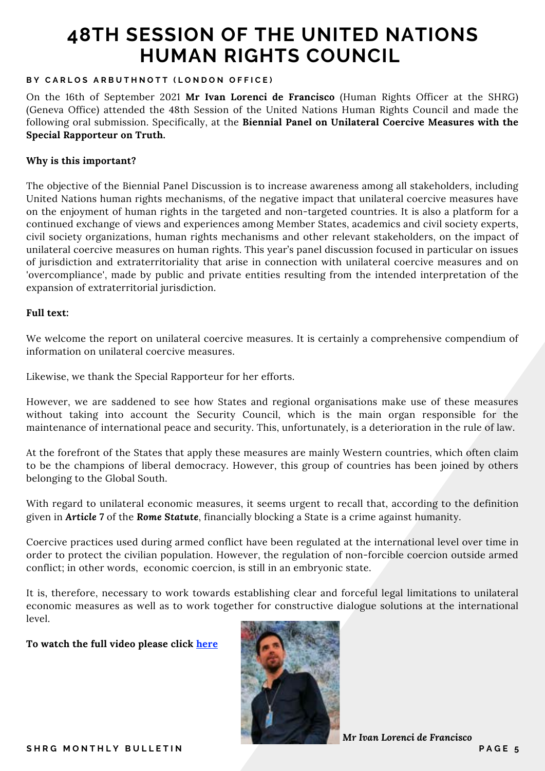#### **BY CARLOS ARBUTHNOTT (LONDON OFFICE)**

On the 16th of September 2021 **Mr Ivan Lorenci de Francisco** (Human Rights Officer at the SHRG) (Geneva Office) attended the 48th Session of the United Nations Human Rights Council and made the following oral submission. Specifically, at the **Biennial Panel on Unilateral Coercive Measures with the Special Rapporteur on Truth.**

#### **Why is this important?**

The objective of the Biennial Panel Discussion is to increase awareness among all stakeholders, including United Nations human rights mechanisms, of the negative impact that unilateral coercive measures have on the enjoyment of human rights in the targeted and non-targeted countries. It is also a platform for a continued exchange of views and experiences among Member States, academics and civil society experts, civil society organizations, human rights mechanisms and other relevant stakeholders, on the impact of unilateral coercive measures on human rights. This year's panel discussion focused in particular on issues of jurisdiction and extraterritoriality that arise in connection with unilateral coercive measures and on 'overcompliance', made by public and private entities resulting from the intended interpretation of the expansion of extraterritorial jurisdiction.

#### **Full text:**

We welcome the report on unilateral coercive measures. It is certainly a comprehensive compendium of information on unilateral coercive measures.

Likewise, we thank the Special Rapporteur for her efforts.

However, we are saddened to see how States and regional organisations make use of these measures without taking into account the Security Council, which is the main organ responsible for the maintenance of international peace and security. This, unfortunately, is a deterioration in the rule of law.

At the forefront of the States that apply these measures are mainly Western countries, which often claim to be the champions of liberal democracy. However, this group of countries has been joined by others belonging to the Global South.

With regard to unilateral economic measures, it seems urgent to recall that, according to the definition given in *Article 7* of the *Rome Statute*, financially blocking a State is a crime against humanity.

Coercive practices used during armed conflict have been regulated at the international level over time in order to protect the civilian population. However, the regulation of non-forcible coercion outside armed conflict; in other words, economic coercion, is still in an embryonic state.

It is, therefore, necessary to work towards establishing clear and forceful legal limitations to unilateral economic measures as well as to work together for constructive dialogue solutions at the international level.

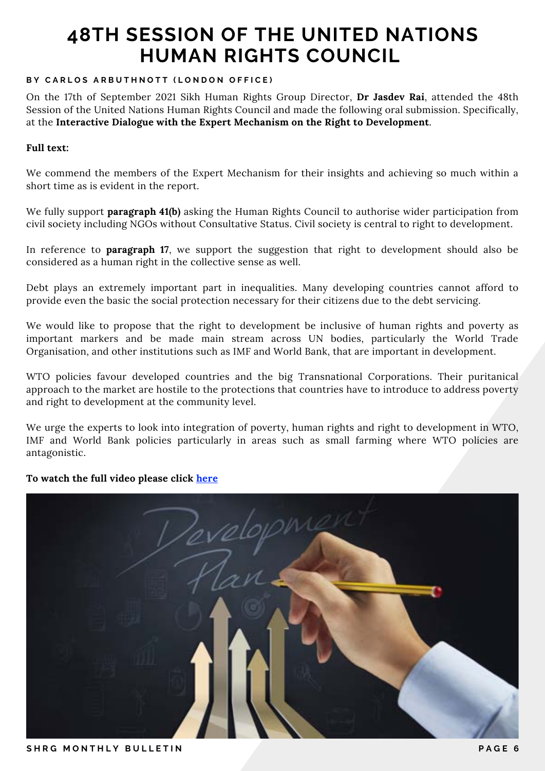#### **BY CARLOS ARBUTHNOTT (LONDON OFFICE)**

On the 17th of September 2021 Sikh Human Rights Group Director, **Dr Jasdev Rai**, attended the 48th Session of the United Nations Human Rights Council and made the following oral submission. Specifically, at the **Interactive Dialogue with the Expert Mechanism on the Right to Development**.

#### **Full text:**

We commend the members of the Expert Mechanism for their insights and achieving so much within a short time as is evident in the report.

We fully support **paragraph 41(b)** asking the Human Rights Council to authorise wider participation from civil society including NGOs without Consultative Status. Civil society is central to right to development.

In reference to **paragraph 17**, we support the suggestion that right to development should also be considered as a human right in the collective sense as well.

Debt plays an extremely important part in inequalities. Many developing countries cannot afford to provide even the basic the social protection necessary for their citizens due to the debt servicing.

We would like to propose that the right to development be inclusive of human rights and poverty as important markers and be made main stream across UN bodies, particularly the World Trade Organisation, and other institutions such as IMF and World Bank, that are important in development.

WTO policies favour developed countries and the big Transnational Corporations. Their puritanical approach to the market are hostile to the protections that countries have to introduce to address poverty and right to development at the community level.

We urge the experts to look into integration of poverty, human rights and right to development in WTO, IMF and World Bank policies particularly in areas such as small farming where WTO policies are antagonistic.

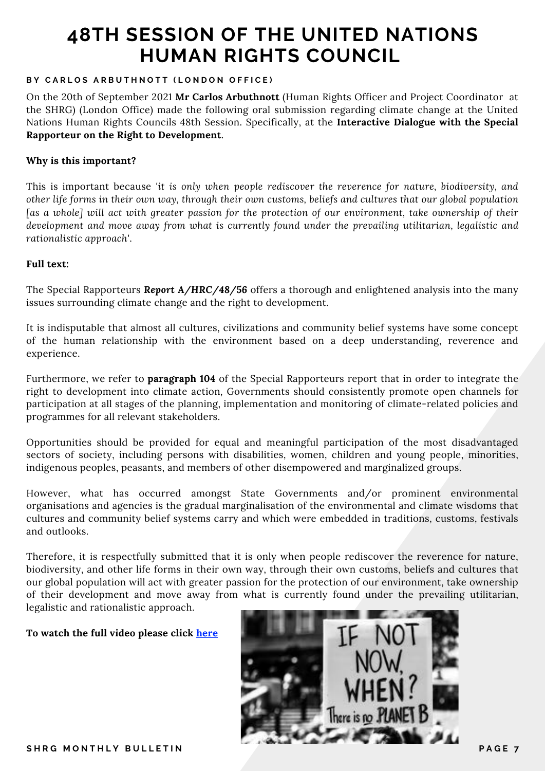#### **BY CARLOS ARBUTHNOTT (LONDON OFFICE)**

On the 20th of September 2021 **Mr Carlos Arbuthnott** (Human Rights Officer and Project Coordinator at the SHRG) (London Office) made the following oral submission regarding climate change at the United Nations Human Rights Councils 48th Session. Specifically, at the **Interactive Dialogue with the Special Rapporteur on the Right to Development**.

#### **Why is this important?**

This is important because *'it is only when people rediscover the reverence for nature, biodiversity, and other life forms in their own way, through their own customs, beliefs and cultures that our global population [as a whole] will act with greater passion for the protection of our environment, take ownership of their development and move away from what is currently found under the prevailing utilitarian, legalistic and rationalistic approach'*.

#### **Full text:**

The Special Rapporteurs *Report A/HRC/48/56* offers a thorough and enlightened analysis into the many issues surrounding climate change and the right to development.

It is indisputable that almost all cultures, civilizations and community belief systems have some concept of the human relationship with the environment based on a deep understanding, reverence and experience.

Furthermore, we refer to **paragraph 104** of the Special Rapporteurs report that in order to integrate the right to development into climate action, Governments should consistently promote open channels for participation at all stages of the planning, implementation and monitoring of climate-related policies and programmes for all relevant stakeholders.

 Opportunities should be provided for equal and meaningful participation of the most disadvantaged sectors of society, including persons with disabilities, women, children and young people, minorities, indigenous peoples, peasants, and members of other disempowered and marginalized groups.

However, what has occurred amongst State Governments and/or prominent environmental organisations and agencies is the gradual marginalisation of the environmental and climate wisdoms that cultures and community belief systems carry and which were embedded in traditions, customs, festivals and outlooks.

Therefore, it is respectfully submitted that it is only when people rediscover the reverence for nature, biodiversity, and other life forms in their own way, through their own customs, beliefs and cultures that our global population will act with greater passion for the protection of our environment, take ownership of their development and move away from what is currently found under the prevailing utilitarian, legalistic and rationalistic approach.

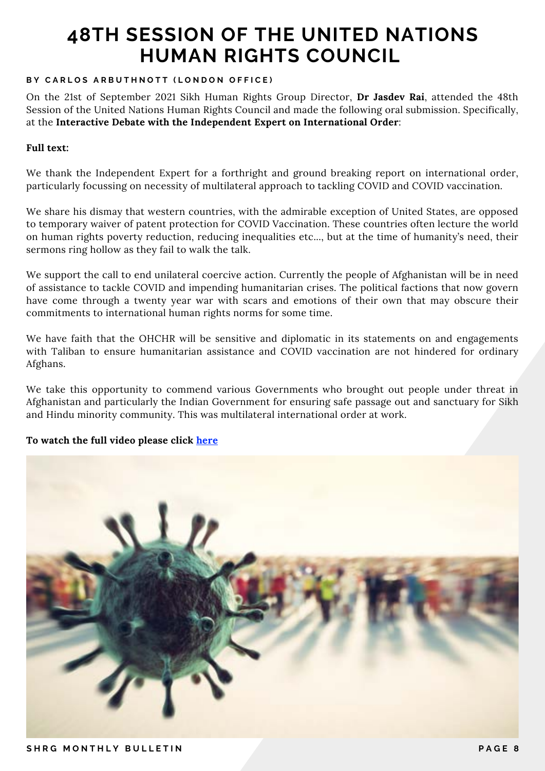#### **BY CARLOS ARBUTHNOTT (LONDON OFFICE)**

On the 21st of September 2021 Sikh Human Rights Group Director, **Dr Jasdev Rai**, attended the 48th Session of the United Nations Human Rights Council and made the following oral submission. Specifically, at the **Interactive Debate with the Independent Expert on International Order**:

#### **Full text:**

We thank the Independent Expert for a forthright and ground breaking report on international order, particularly focussing on necessity of multilateral approach to tackling COVID and COVID vaccination.

We share his dismay that western countries, with the admirable exception of United States, are opposed to temporary waiver of patent protection for COVID Vaccination. These countries often lecture the world on human rights poverty reduction, reducing inequalities etc..., but at the time of humanity's need, their sermons ring hollow as they fail to walk the talk.

We support the call to end unilateral coercive action. Currently the people of Afghanistan will be in need of assistance to tackle COVID and impending humanitarian crises. The political factions that now govern have come through a twenty year war with scars and emotions of their own that may obscure their commitments to international human rights norms for some time.

We have faith that the OHCHR will be sensitive and diplomatic in its statements on and engagements with Taliban to ensure humanitarian assistance and COVID vaccination are not hindered for ordinary Afghans.

We take this opportunity to commend various Governments who brought out people under threat in Afghanistan and particularly the Indian Government for ensuring safe passage out and sanctuary for Sikh and Hindu minority community. This was multilateral international order at work.

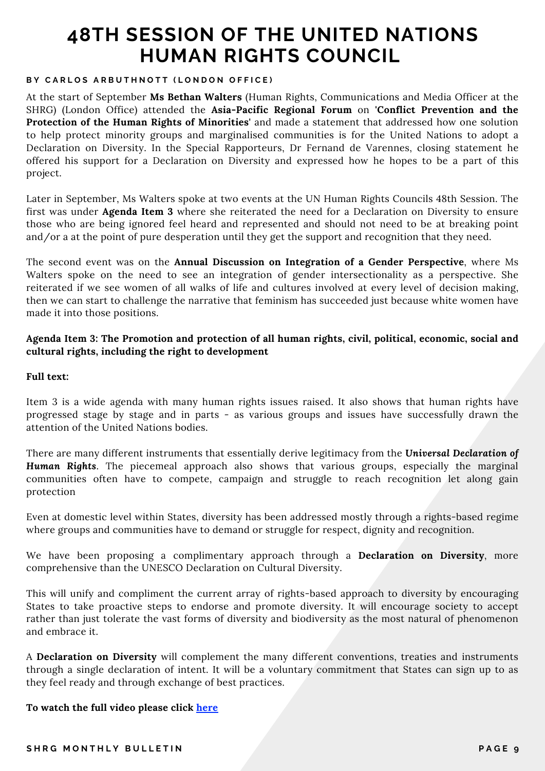#### **BY CARLOS ARBUTHNOTT (LONDON OFFICE)**

At the start of September **Ms Bethan Walters** (Human Rights, Communications and Media Officer at the SHRG) (London Office) attended the **Asia-Pacific Regional Forum** on **'Conflict Prevention and the Protection of the Human Rights of Minorities'** and made a statement that addressed how one solution to help protect minority groups and marginalised communities is for the United Nations to adopt a Declaration on Diversity. In the Special Rapporteurs, Dr Fernand de Varennes, closing statement he offered his support for a Declaration on Diversity and expressed how he hopes to be a part of this project.

Later in September, Ms Walters spoke at two events at the UN Human Rights Councils 48th Session. The first was under **Agenda Item 3** where she reiterated the need for a Declaration on Diversity to ensure those who are being ignored feel heard and represented and should not need to be at breaking point and/or a at the point of pure desperation until they get the support and recognition that they need.

The second event was on the **Annual Discussion on Integration of a Gender Perspective**, where Ms Walters spoke on the need to see an integration of gender intersectionality as a perspective. She reiterated if we see women of all walks of life and cultures involved at every level of decision making, then we can start to challenge the narrative that feminism has succeeded just because white women have made it into those positions.

#### **Agenda Item 3: The Promotion and protection of all human rights, civil, political, economic, social and cultural rights, including the right to development**

#### **Full text:**

Item 3 is a wide agenda with many human rights issues raised. It also shows that human rights have progressed stage by stage and in parts - as various groups and issues have successfully drawn the attention of the United Nations bodies.

There are many different instruments that essentially derive legitimacy from the *Universal Declaration of Human Rights*. The piecemeal approach also shows that various groups, especially the marginal communities often have to compete, campaign and struggle to reach recognition let along gain protection

Even at domestic level within States, diversity has been addressed mostly through a rights-based regime where groups and communities have to demand or struggle for respect, dignity and recognition.

We have been proposing a complimentary approach through a **Declaration on Diversity**, more comprehensive than the UNESCO Declaration on Cultural Diversity.

This will unify and compliment the current array of rights-based approach to diversity by encouraging States to take proactive steps to endorse and promote diversity. It will encourage society to accept rather than just tolerate the vast forms of diversity and biodiversity as the most natural of phenomenon and embrace it.

A **Declaration on Diversity** will complement the many different conventions, treaties and instruments through a single declaration of intent. It will be a voluntary commitment that States can sign up to as they feel ready and through exchange of best practices.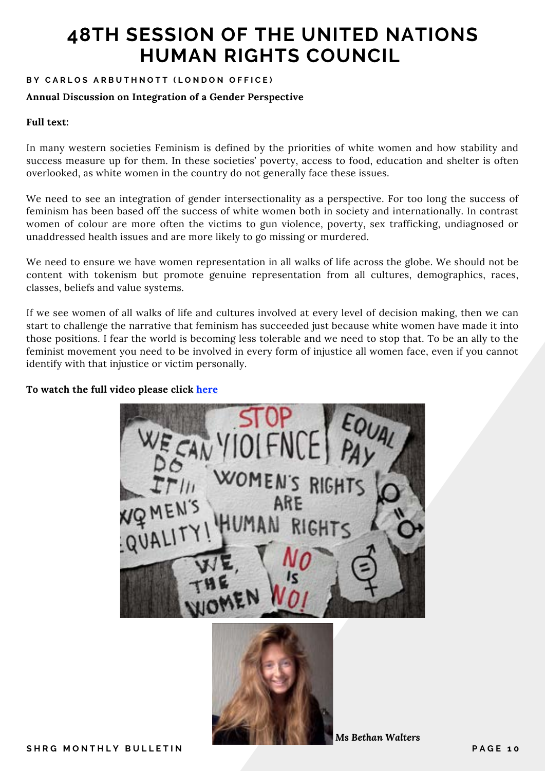#### **BY CARLOS ARBUTHNOTT (LONDON OFFICE)**

#### **Annual Discussion on Integration of a Gender Perspective**

#### **Full text:**

In many western societies Feminism is defined by the priorities of white women and how stability and success measure up for them. In these societies' poverty, access to food, education and shelter is often overlooked, as white women in the country do not generally face these issues.

We need to see an integration of gender intersectionality as a perspective. For too long the success of feminism has been based off the success of white women both in society and internationally. In contrast women of colour are more often the victims to gun violence, poverty, sex trafficking, undiagnosed or unaddressed health issues and are more likely to go missing or murdered.

We need to ensure we have women representation in all walks of life across the globe. We should not be content with tokenism but promote genuine representation from all cultures, demographics, races, classes, beliefs and value systems.

If we see women of all walks of life and cultures involved at every level of decision making, then we can start to challenge the narrative that feminism has succeeded just because white women have made it into those positions. I fear the world is becoming less tolerable and we need to stop that. To be an ally to the feminist movement you need to be involved in every form of injustice all women face, even if you cannot identify with that injustice or victim personally.

**To watch the full video please click [here](https://www.youtube.com/watch?v=LbiR9cP4gHA&t=6s)**



*Ms Bethan Walters*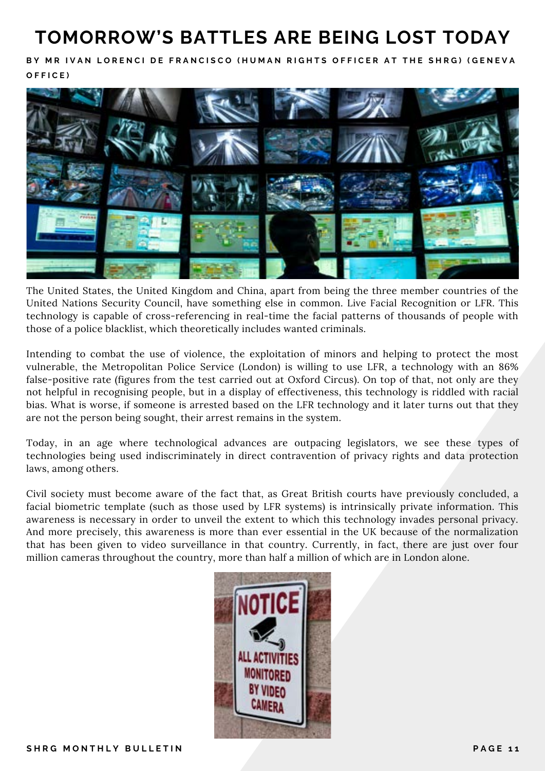### **TOMORROW'S BATTLES ARE BEING LOST TODAY**

BY MR IVAN LORENCI DE FRANCISCO (HUMAN RIGHTS OFFICER AT THE SHRG) (GENEVA **O F F I C E )**



The United States, the United Kingdom and China, apart from being the three member countries of the United Nations Security Council, have something else in common. Live Facial Recognition or LFR. This technology is capable of cross-referencing in real-time the facial patterns of thousands of people with those of a police blacklist, which theoretically includes wanted criminals.

Intending to combat the use of violence, the exploitation of minors and helping to protect the most vulnerable, the Metropolitan Police Service (London) is willing to use LFR, a technology with an 86% false-positive rate (figures from the test carried out at Oxford Circus). On top of that, not only are they not helpful in recognising people, but in a display of effectiveness, this technology is riddled with racial bias. What is worse, if someone is arrested based on the LFR technology and it later turns out that they are not the person being sought, their arrest remains in the system.

Today, in an age where technological advances are outpacing legislators, we see these types of technologies being used indiscriminately in direct contravention of privacy rights and data protection laws, among others.

Civil society must become aware of the fact that, as Great British courts have previously concluded, a facial biometric template (such as those used by LFR systems) is intrinsically private information. This awareness is necessary in order to unveil the extent to which this technology invades personal privacy. And more precisely, this awareness is more than ever essential in the UK because of the normalization that has been given to video surveillance in that country. Currently, in fact, there are just over four million cameras throughout the country, more than half a million of which are in London alone.

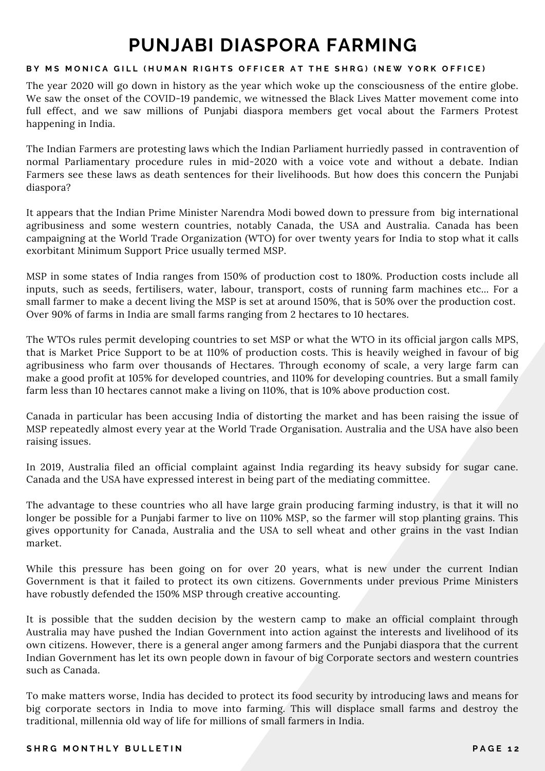### **PUNJABI DIASPORA FARMING**

#### BY MS MONICA GILL (HUMAN RIGHTS OFFICER AT THE SHRG) (NEW YORK OFFICE)

The year 2020 will go down in history as the year which woke up the consciousness of the entire globe. We saw the onset of the COVID-19 pandemic, we witnessed the Black Lives Matter movement come into full effect, and we saw millions of Punjabi diaspora members get vocal about the Farmers Protest happening in India.

The Indian Farmers are protesting laws which the Indian Parliament hurriedly passed in contravention of normal Parliamentary procedure rules in mid-2020 with a voice vote and without a debate. Indian Farmers see these laws as death sentences for their livelihoods. But how does this concern the Punjabi diaspora?

It appears that the Indian Prime Minister Narendra Modi bowed down to pressure from big international agribusiness and some western countries, notably Canada, the USA and Australia. Canada has been campaigning at the World Trade Organization (WTO) for over twenty years for India to stop what it calls exorbitant Minimum Support Price usually termed MSP.

MSP in some states of India ranges from 150% of production cost to 180%. Production costs include all inputs, such as seeds, fertilisers, water, labour, transport, costs of running farm machines etc... For a small farmer to make a decent living the MSP is set at around 150%, that is 50% over the production cost. Over 90% of farms in India are small farms ranging from 2 hectares to 10 hectares.

The WTOs rules permit developing countries to set MSP or what the WTO in its official jargon calls MPS, that is Market Price Support to be at 110% of production costs. This is heavily weighed in favour of big agribusiness who farm over thousands of Hectares. Through economy of scale, a very large farm can make a good profit at 105% for developed countries, and 110% for developing countries. But a small family farm less than 10 hectares cannot make a living on 110%, that is 10% above production cost.

Canada in particular has been accusing India of distorting the market and has been raising the issue of MSP repeatedly almost every year at the World Trade Organisation. Australia and the USA have also been raising issues.

In 2019, Australia filed an official complaint against India regarding its heavy subsidy for sugar cane. Canada and the USA have expressed interest in being part of the mediating committee.

The advantage to these countries who all have large grain producing farming industry, is that it will no longer be possible for a Punjabi farmer to live on 110% MSP, so the farmer will stop planting grains. This gives opportunity for Canada, Australia and the USA to sell wheat and other grains in the vast Indian market.

While this pressure has been going on for over 20 years, what is new under the current Indian Government is that it failed to protect its own citizens. Governments under previous Prime Ministers have robustly defended the 150% MSP through creative accounting.

It is possible that the sudden decision by the western camp to make an official complaint through Australia may have pushed the Indian Government into action against the interests and livelihood of its own citizens. However, there is a general anger among farmers and the Punjabi diaspora that the current Indian Government has let its own people down in favour of big Corporate sectors and western countries such as Canada.

To make matters worse, India has decided to protect its food security by introducing laws and means for big corporate sectors in India to move into farming. This will displace small farms and destroy the traditional, millennia old way of life for millions of small farmers in India.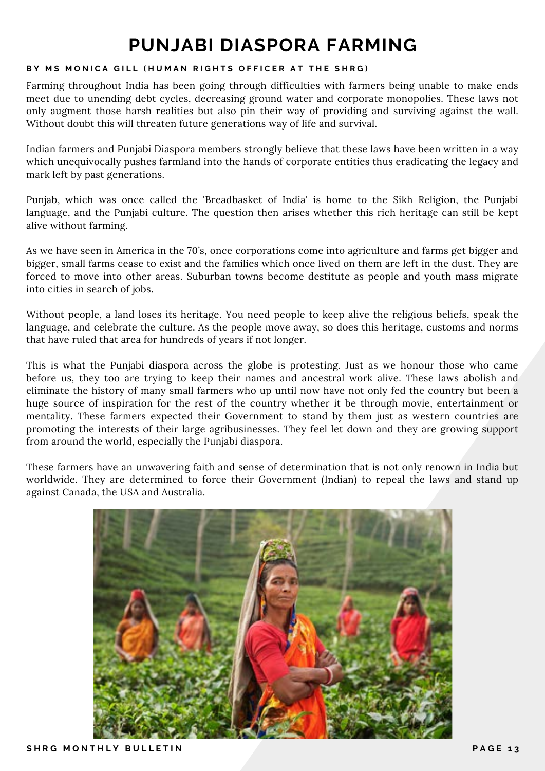### **PUNJABI DIASPORA FARMING**

#### **BY MS MONICA GILL (HUMAN RIGHTS OFFICER AT THE SHRG)**

Farming throughout India has been going through difficulties with farmers being unable to make ends meet due to unending debt cycles, decreasing ground water and corporate monopolies. These laws not only augment those harsh realities but also pin their way of providing and surviving against the wall. Without doubt this will threaten future generations way of life and survival.

Indian farmers and Punjabi Diaspora members strongly believe that these laws have been written in a way which unequivocally pushes farmland into the hands of corporate entities thus eradicating the legacy and mark left by past generations.

Punjab, which was once called the 'Breadbasket of India' is home to the Sikh Religion, the Punjabi language, and the Punjabi culture. The question then arises whether this rich heritage can still be kept alive without farming.

As we have seen in America in the 70's, once corporations come into agriculture and farms get bigger and bigger, small farms cease to exist and the families which once lived on them are left in the dust. They are forced to move into other areas. Suburban towns become destitute as people and youth mass migrate into cities in search of jobs.

Without people, a land loses its heritage. You need people to keep alive the religious beliefs, speak the language, and celebrate the culture. As the people move away, so does this heritage, customs and norms that have ruled that area for hundreds of years if not longer.

This is what the Punjabi diaspora across the globe is protesting. Just as we honour those who came before us, they too are trying to keep their names and ancestral work alive. These laws abolish and eliminate the history of many small farmers who up until now have not only fed the country but been a huge source of inspiration for the rest of the country whether it be through movie, entertainment or mentality. These farmers expected their Government to stand by them just as western countries are promoting the interests of their large agribusinesses. They feel let down and they are growing support from around the world, especially the Punjabi diaspora.

These farmers have an unwavering faith and sense of determination that is not only renown in India but worldwide. They are determined to force their Government (Indian) to repeal the laws and stand up against Canada, the USA and Australia.

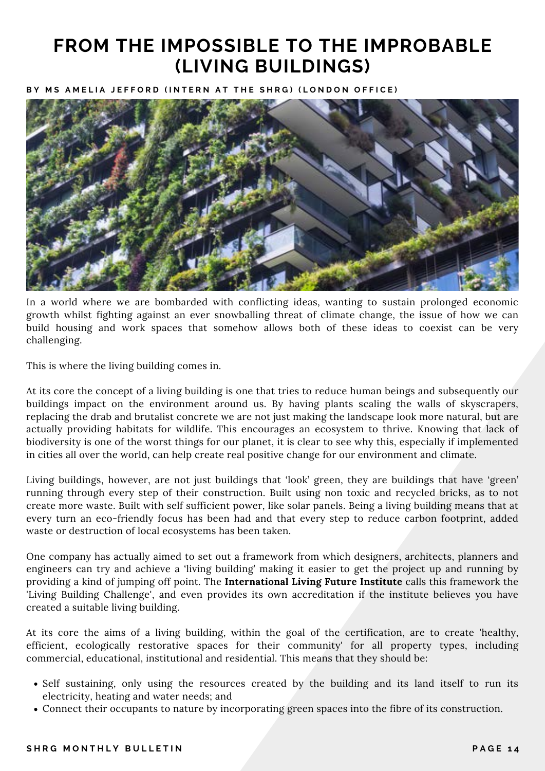### **FROM THE IMPOSSIBLE TO THE IMPROBABLE (LIVING BUILDINGS)**

BY MS AMELIA JEFFORD (INTERN AT THE SHRG) (LONDON OFFICE)



In a world where we are bombarded with conflicting ideas, wanting to sustain prolonged economic growth whilst fighting against an ever snowballing threat of climate change, the issue of how we can build housing and work spaces that somehow allows both of these ideas to coexist can be very challenging.

This is where the living building comes in.

At its core the concept of a living building is one that tries to reduce human beings and subsequently our buildings impact on the environment around us. By having plants scaling the walls of skyscrapers, replacing the drab and brutalist concrete we are not just making the landscape look more natural, but are actually providing habitats for wildlife. This encourages an ecosystem to thrive. Knowing that lack of biodiversity is one of the worst things for our planet, it is clear to see why this, especially if implemented in cities all over the world, can help create real positive change for our environment and climate.

Living buildings, however, are not just buildings that 'look' green, they are buildings that have 'green' running through every step of their construction. Built using non toxic and recycled bricks, as to not create more waste. Built with self sufficient power, like solar panels. Being a living building means that at every turn an eco-friendly focus has been had and that every step to reduce carbon footprint, added waste or destruction of local ecosystems has been taken.

One company has actually aimed to set out a framework from which designers, architects, planners and engineers can try and achieve a 'living building' making it easier to get the project up and running by providing a kind of jumping off point. The **International Living Future Institute** calls this framework the 'Living Building Challenge', and even provides its own accreditation if the institute believes you have created a suitable living building.

At its core the aims of a living building, within the goal of the certification, are to create 'healthy, efficient, ecologically restorative spaces for their community' for all property types, including commercial, educational, institutional and residential. This means that they should be:

- Self sustaining, only using the resources created by the building and its land itself to run its electricity, heating and water needs; and
- Connect their occupants to nature by incorporating green spaces into the fibre of its construction.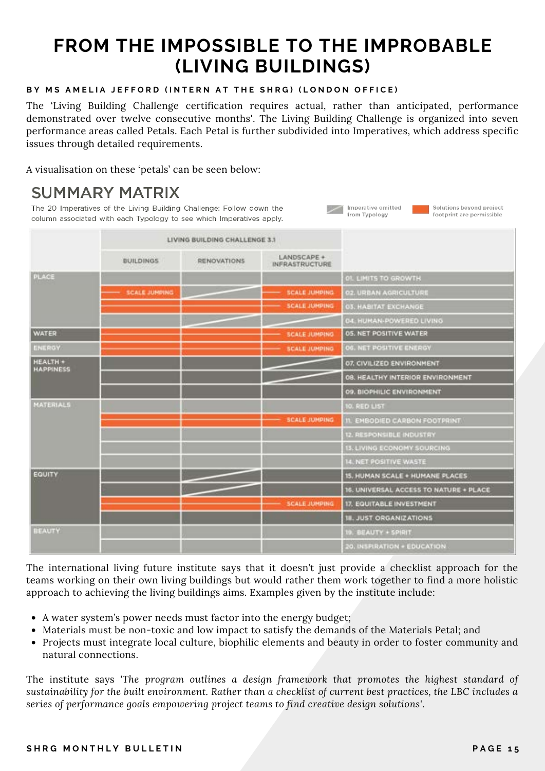### **FROM THE IMPOSSIBLE TO THE IMPROBABLE (LIVING BUILDINGS)**

#### **BY MS AMELIA JEFFORD (INTERN AT THE SHRG) (LONDON OFFICE)**

The 'Living Building Challenge certification requires actual, rather than anticipated, performance demonstrated over twelve consecutive months'. The Living Building Challenge is organized into seven performance areas called Petals. Each Petal is further subdivided into Imperatives, which address specific issues through detailed requirements.

Imperative omitted

from Typology

Solutions beyond project

footprint are permissible

A visualisation on these 'petals' can be seen below:

### **SUMMARY MATRIX**

The 20 Imperatives of the Living Building Challenge: Follow down the column associated with each Typology to see which Imperatives apply.

|                                     | LIVING BUILDING CHALLENGE 3.1 |                    |                                      |                                        |
|-------------------------------------|-------------------------------|--------------------|--------------------------------------|----------------------------------------|
|                                     | <b>BUILDINGS</b>              | <b>RENOVATIONS</b> | LANDSCAPE +<br><b>INFRASTRUCTURE</b> |                                        |
| <b>PLACE</b>                        |                               |                    |                                      | <b>OI. LIMITS TO GROWTH</b>            |
|                                     | <b>SCALE JUNPING</b>          |                    | <b>SCALE JUMPING</b>                 | <b>02. URBAN AGRICULTURE</b>           |
|                                     |                               |                    | <b>SCALE JUMPING</b>                 | <b>03. HABITAT EXCHANGE</b>            |
|                                     |                               |                    |                                      | 04. HUMAN-POWERED LIVING               |
| <b>WATER</b>                        |                               |                    | <b>SCALE JUMPING</b>                 | <b>05. NET POSITIVE WATER</b>          |
| <b>ENERGY</b>                       |                               |                    | <b>SCALE JUMPING</b>                 | 06. NET POSITIVE ENERGY                |
| <b>HEALTH +</b><br><b>HAPPINESS</b> |                               |                    |                                      | 07. CIVILIZED ENVIRONMENT              |
|                                     |                               |                    |                                      | 08. HEALTHY INTERIOR ENVIRONMENT       |
|                                     |                               |                    |                                      | 09. BIOPHILIC ENVIRONMENT              |
| <b>MATERIALS</b>                    |                               |                    |                                      | <b>10. RED LIST</b>                    |
|                                     |                               |                    | <b>SCALE JUMPING</b>                 | <b>II. EMBODIED CARBON FOOTPRINT</b>   |
|                                     |                               |                    |                                      | 12. RESPONSIBLE INDUSTRY               |
|                                     |                               |                    |                                      | 13. LIVING ECONOMY SOURCING            |
|                                     |                               |                    |                                      | 14. NET POSITIVE WASTE                 |
| EQUITY                              |                               |                    |                                      | <b>15. HUMAN SCALE + HUMANE PLACES</b> |
|                                     |                               |                    |                                      | 16. UNIVERSAL ACCESS TO NATURE + PLACE |
|                                     |                               |                    | <b>SCALE JUMPING</b>                 | 17. EQUITABLE INVESTMENT               |
|                                     |                               |                    |                                      | <b>18. JUST ORGANIZATIONS</b>          |
| <b>BEAUTY</b>                       |                               |                    |                                      | <b>10. BEAUTY + SPIRIT</b>             |
|                                     |                               |                    |                                      | 20. INSPIRATION + EDUCATION            |

The international living future institute says that it doesn't just provide a checklist approach for the teams working on their own living buildings but would rather them work together to find a more holistic approach to achieving the living buildings aims. Examples given by the institute include:

- A water system's power needs must factor into the energy budget;
- Materials must be non-toxic and low impact to satisfy the demands of the Materials Petal; and
- Projects must integrate local culture, biophilic elements and beauty in order to foster community and natural connections.

The institute says *'The program outlines a design framework that promotes the highest standard of sustainability for the built environment. Rather than a checklist of current best practices, the LBC includes a series of performance goals empowering project teams to find creative design solutions'*.